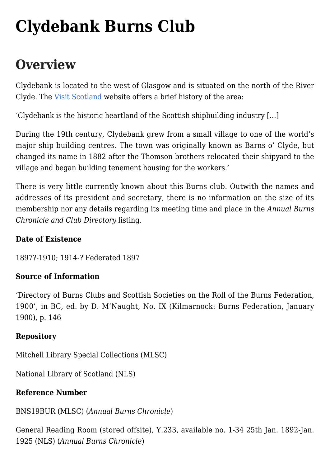# **[Clydebank Burns Club](https://www.glasgowsliterarybonds.org/societies/clydebank-burns-club/)**

## **Overview**

Clydebank is located to the west of Glasgow and is situated on the north of the River Clyde. The [Visit Scotland](https://www.visitscotland.com/info/towns-villages/clydebank-p241841) website offers a brief history of the area:

'Clydebank is the historic heartland of the Scottish shipbuilding industry […]

During the 19th century, Clydebank grew from a small village to one of the world's major ship building centres. The town was originally known as Barns o' Clyde, but changed its name in 1882 after the Thomson brothers relocated their shipyard to the village and began building tenement housing for the workers.'

There is very little currently known about this Burns club. Outwith the names and addresses of its president and secretary, there is no information on the size of its membership nor any details regarding its meeting time and place in the *Annual Burns Chronicle and Club Directory* listing.

### **Date of Existence**

1897?-1910; 1914-? Federated 1897

### **Source of Information**

'Directory of Burns Clubs and Scottish Societies on the Roll of the Burns Federation, 1900', in BC, ed. by D. M'Naught, No. IX (Kilmarnock: Burns Federation, January 1900), p. 146

### **Repository**

Mitchell Library Special Collections (MLSC)

National Library of Scotland (NLS)

### **Reference Number**

BNS19BUR (MLSC) (*Annual Burns Chronicle*)

General Reading Room (stored offsite), Y.233, available no. 1-34 25th Jan. 1892-Jan. 1925 (NLS) (*Annual Burns Chronicle*)